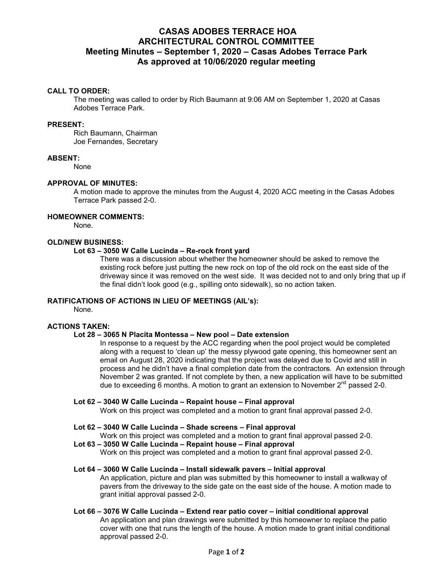# **CASAS ADOBES TERRACE HOA ARCHITECTURAL CONTROL COMMITTEE Meeting Minutes – September 1, 2020 – Casas Adobes Terrace Park As approved at 10/06/2020 regular meeting**

### **CALL TO ORDER:**

The meeting was called to order by Rich Baumann at 9:06 AM on September 1, 2020 at Casas Adobes Terrace Park.

## **PRESENT:**

Rich Baumann, Chairman Joe Fernandes, Secretary

### **ABSENT:**

None

### **APPROVAL OF MINUTES:**

A motion made to approve the minutes from the August 4, 2020 ACC meeting in the Casas Adobes Terrace Park passed 2-0.

## **HOMEOWNER COMMENTS:**

None.

## **OLD/NEW BUSINESS:**

## **Lot 63 – 3050 W Calle Lucinda – Re-rock front yard**

There was a discussion about whether the homeowner should be asked to remove the existing rock before just putting the new rock on top of the old rock on the east side of the driveway since it was removed on the west side. It was decided not to and only bring that up if the final didn't look good (e.g., spilling onto sidewalk), so no action taken.

### **RATIFICATIONS OF ACTIONS IN LIEU OF MEETINGS (AIL's):**

None.

### **ACTIONS TAKEN:**

### **Lot 28 – 3065 N Placita Montessa – New pool – Date extension**

In response to a request by the ACC regarding when the pool project would be completed along with a request to 'clean up' the messy plywood gate opening, this homeowner sent an email on August 28, 2020 indicating that the project was delayed due to Covid and still in process and he didn't have a final completion date from the contractors. An extension through November 2 was granted. If not complete by then, a new application will have to be submitted due to exceeding 6 months. A motion to grant an extension to November  $2^{nd}$  passed 2-0.

## **Lot 62 – 3040 W Calle Lucinda – Repaint house – Final approval**

Work on this project was completed and a motion to grant final approval passed 2-0.

### **Lot 62 – 3040 W Calle Lucinda – Shade screens – Final approval**

Work on this project was completed and a motion to grant final approval passed 2-0.

# **Lot 63 – 3050 W Calle Lucinda – Repaint house – Final approval**

Work on this project was completed and a motion to grant final approval passed 2-0.

#### **Lot 64 – 3060 W Calle Lucinda – Install sidewalk pavers – Initial approval**

An application, picture and plan was submitted by this homeowner to install a walkway of pavers from the driveway to the side gate on the east side of the house. A motion made to grant initial approval passed 2-0.

# **Lot 66 – 3076 W Calle Lucinda – Extend rear patio cover – initial conditional approval**

An application and plan drawings were submitted by this homeowner to replace the patio cover with one that runs the length of the house. A motion made to grant initial conditional approval passed 2-0.